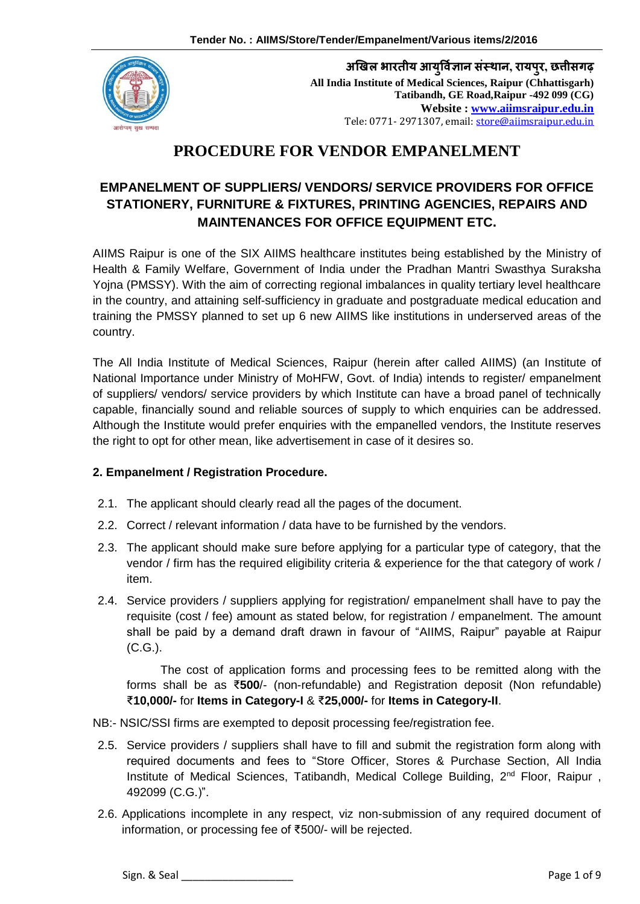

**अखिल भारतीय आयर्ुवज्ञि ान संस्थान, रायपरु, छत्तीसगढ़ All India Institute of Medical Sciences, Raipur (Chhattisgarh) Tatibandh, GE Road,Raipur -492 099 (CG) Website : [www.aiimsraipur.edu.in](http://www.aiimsraipur.edu.in/)** Tele: 0771- 2971307, email: [store@aiimsraipur.edu.in](mailto:store@aiimsraipur.edu.in)

# **PROCEDURE FOR VENDOR EMPANELMENT**

# **EMPANELMENT OF SUPPLIERS/ VENDORS/ SERVICE PROVIDERS FOR OFFICE STATIONERY, FURNITURE & FIXTURES, PRINTING AGENCIES, REPAIRS AND MAINTENANCES FOR OFFICE EQUIPMENT ETC.**

AIIMS Raipur is one of the SIX AIIMS healthcare institutes being established by the Ministry of Health & Family Welfare, Government of India under the Pradhan Mantri Swasthya Suraksha Yojna (PMSSY). With the aim of correcting regional imbalances in quality tertiary level healthcare in the country, and attaining self-sufficiency in graduate and postgraduate medical education and training the PMSSY planned to set up 6 new AIIMS like institutions in underserved areas of the country.

The All India Institute of Medical Sciences, Raipur (herein after called AIIMS) (an Institute of National Importance under Ministry of MoHFW, Govt. of India) intends to register/ empanelment of suppliers/ vendors/ service providers by which Institute can have a broad panel of technically capable, financially sound and reliable sources of supply to which enquiries can be addressed. Although the Institute would prefer enquiries with the empanelled vendors, the Institute reserves the right to opt for other mean, like advertisement in case of it desires so.

#### **2. Empanelment / Registration Procedure.**

- 2.1. The applicant should clearly read all the pages of the document.
- 2.2. Correct / relevant information / data have to be furnished by the vendors.
- 2.3. The applicant should make sure before applying for a particular type of category, that the vendor / firm has the required eligibility criteria & experience for the that category of work / item.
- 2.4. Service providers / suppliers applying for registration/ empanelment shall have to pay the requisite (cost / fee) amount as stated below, for registration / empanelment. The amount shall be paid by a demand draft drawn in favour of "AIIMS, Raipur" payable at Raipur (C.G.).

The cost of application forms and processing fees to be remitted along with the forms shall be as ₹**500**/- (non-refundable) and Registration deposit (Non refundable) ₹**10,000/-** for **Items in Category-I** & ₹**25,000/-** for **Items in Category-II**.

NB:- NSIC/SSI firms are exempted to deposit processing fee/registration fee.

- 2.5. Service providers / suppliers shall have to fill and submit the registration form along with required documents and fees to "Store Officer, Stores & Purchase Section, All India Institute of Medical Sciences, Tatibandh, Medical College Building, 2<sup>nd</sup> Floor, Raipur, 492099 (C.G.)".
- 2.6. Applications incomplete in any respect, viz non-submission of any required document of information, or processing fee of ₹500/- will be rejected.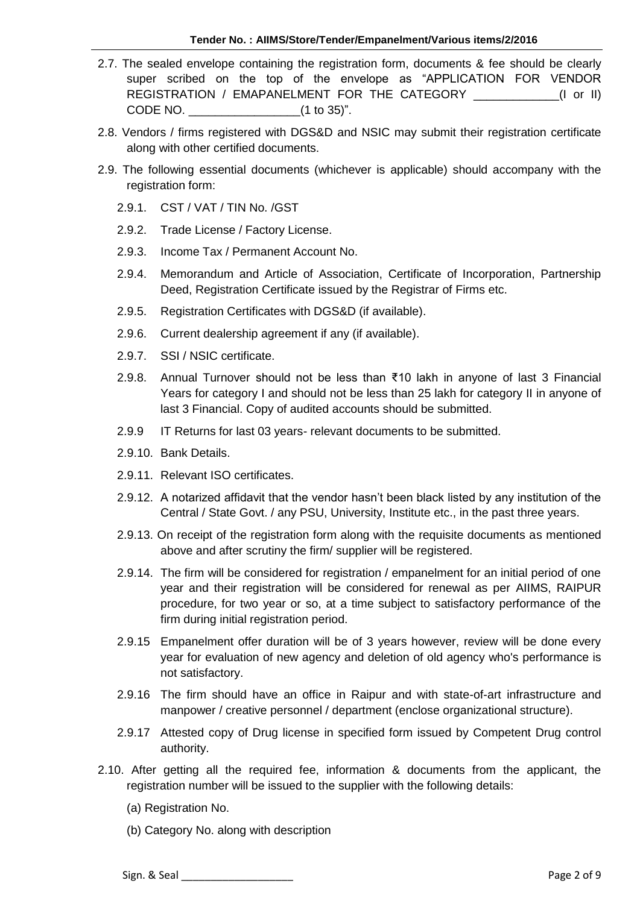- 2.7. The sealed envelope containing the registration form, documents & fee should be clearly super scribed on the top of the envelope as "APPLICATION FOR VENDOR REGISTRATION / EMAPANELMENT FOR THE CATEGORY [I or II] CODE NO. \_\_\_\_\_\_\_\_\_\_\_\_\_\_\_\_\_(1 to 35)".
- 2.8. Vendors / firms registered with DGS&D and NSIC may submit their registration certificate along with other certified documents.
- 2.9. The following essential documents (whichever is applicable) should accompany with the registration form:
	- 2.9.1. CST / VAT / TIN No. /GST
	- 2.9.2. Trade License / Factory License.
	- 2.9.3. Income Tax / Permanent Account No.
	- 2.9.4. Memorandum and Article of Association, Certificate of Incorporation, Partnership Deed, Registration Certificate issued by the Registrar of Firms etc.
	- 2.9.5. Registration Certificates with DGS&D (if available).
	- 2.9.6. Current dealership agreement if any (if available).
	- 2.9.7. SSI / NSIC certificate.
	- 2.9.8. Annual Turnover should not be less than ₹10 lakh in anyone of last 3 Financial Years for category I and should not be less than 25 lakh for category II in anyone of last 3 Financial. Copy of audited accounts should be submitted.
	- 2.9.9 IT Returns for last 03 years- relevant documents to be submitted.
	- 2.9.10. Bank Details.
	- 2.9.11. Relevant ISO certificates.
	- 2.9.12. A notarized affidavit that the vendor hasn't been black listed by any institution of the Central / State Govt. / any PSU, University, Institute etc., in the past three years.
	- 2.9.13. On receipt of the registration form along with the requisite documents as mentioned above and after scrutiny the firm/ supplier will be registered.
	- 2.9.14. The firm will be considered for registration / empanelment for an initial period of one year and their registration will be considered for renewal as per AIIMS, RAIPUR procedure, for two year or so, at a time subject to satisfactory performance of the firm during initial registration period.
	- 2.9.15 Empanelment offer duration will be of 3 years however, review will be done every year for evaluation of new agency and deletion of old agency who's performance is not satisfactory.
	- 2.9.16 The firm should have an office in Raipur and with state-of-art infrastructure and manpower / creative personnel / department (enclose organizational structure).
	- 2.9.17 Attested copy of Drug license in specified form issued by Competent Drug control authority.
- 2.10. After getting all the required fee, information & documents from the applicant, the registration number will be issued to the supplier with the following details:
	- (a) Registration No.
	- (b) Category No. along with description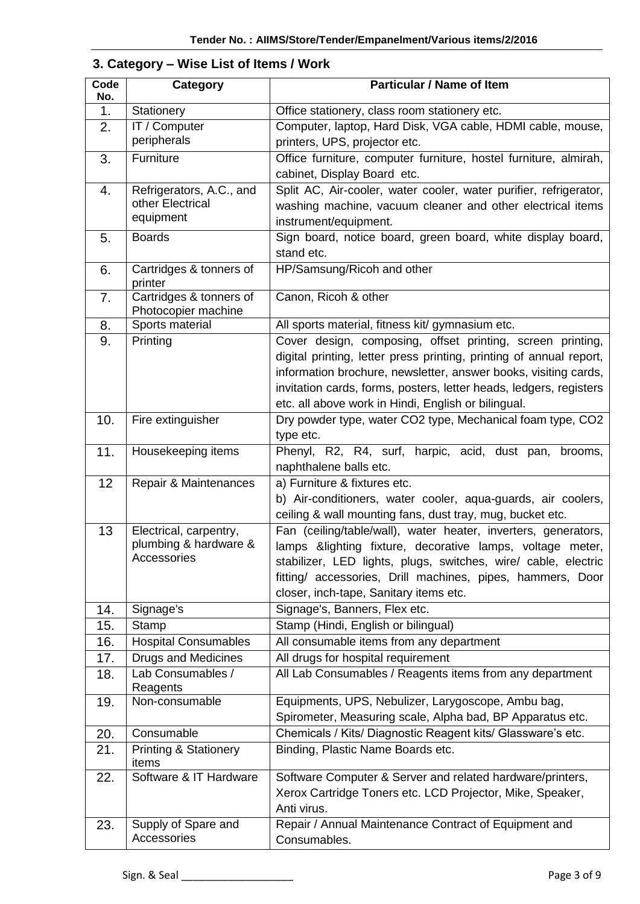| Code<br>No.    | Category                                                  | <b>Particular / Name of Item</b>                                                                                |  |  |
|----------------|-----------------------------------------------------------|-----------------------------------------------------------------------------------------------------------------|--|--|
| 1 <sub>1</sub> | Stationery                                                | Office stationery, class room stationery etc.                                                                   |  |  |
| 2.             | IT / Computer                                             | Computer, laptop, Hard Disk, VGA cable, HDMI cable, mouse,                                                      |  |  |
|                | peripherals                                               | printers, UPS, projector etc.                                                                                   |  |  |
| 3.             | Furniture                                                 | Office furniture, computer furniture, hostel furniture, almirah,                                                |  |  |
|                |                                                           | cabinet, Display Board etc.                                                                                     |  |  |
| 4.             | Refrigerators, A.C., and                                  | Split AC, Air-cooler, water cooler, water purifier, refrigerator,                                               |  |  |
|                | other Electrical<br>equipment                             | washing machine, vacuum cleaner and other electrical items                                                      |  |  |
|                |                                                           | instrument/equipment.                                                                                           |  |  |
| 5.             | <b>Boards</b>                                             | Sign board, notice board, green board, white display board,<br>stand etc.                                       |  |  |
| 6.             | Cartridges & tonners of<br>printer                        | HP/Samsung/Ricoh and other                                                                                      |  |  |
| 7.             | Cartridges & tonners of<br>Photocopier machine            | Canon, Ricoh & other                                                                                            |  |  |
| 8.             | Sports material                                           | All sports material, fitness kit/ gymnasium etc.                                                                |  |  |
| 9.             | Printing                                                  | Cover design, composing, offset printing, screen printing,                                                      |  |  |
|                |                                                           | digital printing, letter press printing, printing of annual report,                                             |  |  |
|                |                                                           | information brochure, newsletter, answer books, visiting cards,                                                 |  |  |
|                |                                                           | invitation cards, forms, posters, letter heads, ledgers, registers                                              |  |  |
|                |                                                           | etc. all above work in Hindi, English or bilingual.                                                             |  |  |
| 10.            | Fire extinguisher                                         | Dry powder type, water CO2 type, Mechanical foam type, CO2                                                      |  |  |
| 11.            | Housekeeping items                                        | type etc.<br>Phenyl, R2, R4, surf, harpic, acid, dust pan, brooms,                                              |  |  |
|                |                                                           | naphthalene balls etc.                                                                                          |  |  |
| 12             | Repair & Maintenances                                     | a) Furniture & fixtures etc.                                                                                    |  |  |
|                |                                                           | b) Air-conditioners, water cooler, aqua-guards, air coolers,                                                    |  |  |
|                |                                                           | ceiling & wall mounting fans, dust tray, mug, bucket etc.                                                       |  |  |
| 13             | Electrical, carpentry,                                    | Fan (ceiling/table/wall), water heater, inverters, generators,                                                  |  |  |
|                | plumbing & hardware &                                     | lamps & lighting fixture, decorative lamps, voltage meter,                                                      |  |  |
|                | Accessories                                               | stabilizer, LED lights, plugs, switches, wire/ cable, electric                                                  |  |  |
|                |                                                           | fitting/ accessories, Drill machines, pipes, hammers, Door                                                      |  |  |
|                |                                                           | closer, inch-tape, Sanitary items etc.                                                                          |  |  |
| 14.            | Signage's                                                 | Signage's, Banners, Flex etc.                                                                                   |  |  |
| 15.            | <b>Stamp</b>                                              | Stamp (Hindi, English or bilingual)                                                                             |  |  |
| 16.<br>17.     | <b>Hospital Consumables</b><br><b>Drugs and Medicines</b> | All consumable items from any department<br>All drugs for hospital requirement                                  |  |  |
| 18.            | Lab Consumables /                                         | All Lab Consumables / Reagents items from any department                                                        |  |  |
|                | Reagents                                                  |                                                                                                                 |  |  |
| 19.            | Non-consumable                                            | Equipments, UPS, Nebulizer, Larygoscope, Ambu bag,<br>Spirometer, Measuring scale, Alpha bad, BP Apparatus etc. |  |  |
| 20.            | Consumable                                                | Chemicals / Kits/ Diagnostic Reagent kits/ Glassware's etc.                                                     |  |  |
| 21.            | <b>Printing &amp; Stationery</b>                          | Binding, Plastic Name Boards etc.                                                                               |  |  |
|                | items                                                     |                                                                                                                 |  |  |
| 22.            | Software & IT Hardware                                    | Software Computer & Server and related hardware/printers,                                                       |  |  |
|                |                                                           | Xerox Cartridge Toners etc. LCD Projector, Mike, Speaker,<br>Anti virus.                                        |  |  |
| 23.            | Supply of Spare and                                       | Repair / Annual Maintenance Contract of Equipment and                                                           |  |  |
|                | Accessories                                               | Consumables.                                                                                                    |  |  |

#### **3. Category – Wise List of Items / Work**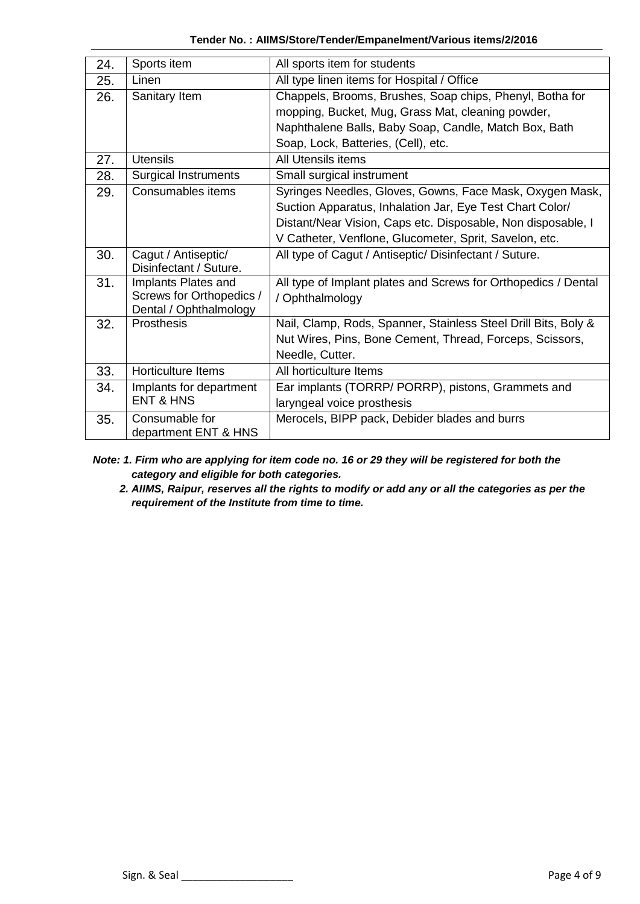| 24.                        | Sports item                                     | All sports item for students                                   |  |  |
|----------------------------|-------------------------------------------------|----------------------------------------------------------------|--|--|
| 25.                        | Linen                                           | All type linen items for Hospital / Office                     |  |  |
| 26.                        | Sanitary Item                                   | Chappels, Brooms, Brushes, Soap chips, Phenyl, Botha for       |  |  |
|                            |                                                 | mopping, Bucket, Mug, Grass Mat, cleaning powder,              |  |  |
|                            |                                                 | Naphthalene Balls, Baby Soap, Candle, Match Box, Bath          |  |  |
|                            |                                                 | Soap, Lock, Batteries, (Cell), etc.                            |  |  |
| 27.                        | <b>Utensils</b>                                 | All Utensils items                                             |  |  |
| 28.                        | <b>Surgical Instruments</b>                     | Small surgical instrument                                      |  |  |
| 29.                        | Consumables items                               | Syringes Needles, Gloves, Gowns, Face Mask, Oxygen Mask,       |  |  |
|                            |                                                 | Suction Apparatus, Inhalation Jar, Eye Test Chart Color/       |  |  |
|                            |                                                 | Distant/Near Vision, Caps etc. Disposable, Non disposable, I   |  |  |
|                            |                                                 | V Catheter, Venflone, Glucometer, Sprit, Savelon, etc.         |  |  |
| 30.                        | Cagut / Antiseptic/                             | All type of Cagut / Antiseptic/ Disinfectant / Suture.         |  |  |
|                            | Disinfectant / Suture.                          |                                                                |  |  |
| 31.<br>Implants Plates and |                                                 | All type of Implant plates and Screws for Orthopedics / Dental |  |  |
|                            | Screws for Orthopedics /                        | / Ophthalmology                                                |  |  |
| 32.                        | Dental / Ophthalmology<br>Prosthesis            |                                                                |  |  |
|                            |                                                 | Nail, Clamp, Rods, Spanner, Stainless Steel Drill Bits, Boly & |  |  |
|                            |                                                 | Nut Wires, Pins, Bone Cement, Thread, Forceps, Scissors,       |  |  |
|                            |                                                 | Needle, Cutter.                                                |  |  |
| 33.                        | <b>Horticulture Items</b>                       | All horticulture Items                                         |  |  |
| 34.                        | Implants for department<br><b>ENT &amp; HNS</b> | Ear implants (TORRP/ PORRP), pistons, Grammets and             |  |  |
|                            |                                                 | laryngeal voice prosthesis                                     |  |  |
| 35.                        | Consumable for                                  | Merocels, BIPP pack, Debider blades and burrs                  |  |  |
|                            | department ENT & HNS                            |                                                                |  |  |

**Tender No. : AIIMS/Store/Tender/Empanelment/Various items/2/2016**

- *Note: 1. Firm who are applying for item code no. 16 or 29 they will be registered for both the category and eligible for both categories.*
	- *2. AIIMS, Raipur, reserves all the rights to modify or add any or all the categories as per the requirement of the Institute from time to time.*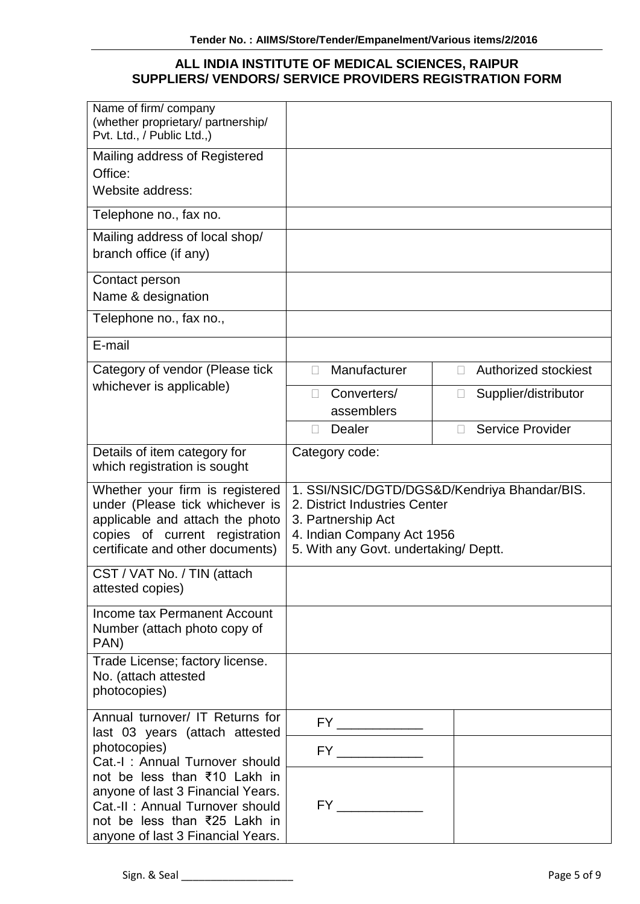#### **ALL INDIA INSTITUTE OF MEDICAL SCIENCES, RAIPUR SUPPLIERS/ VENDORS/ SERVICE PROVIDERS REGISTRATION FORM**

| Name of firm/company<br>(whether proprietary/ partnership/<br>Pvt. Ltd., / Public Ltd.,)                                                                                                                    |                                                                                                                                                                            |                                |  |
|-------------------------------------------------------------------------------------------------------------------------------------------------------------------------------------------------------------|----------------------------------------------------------------------------------------------------------------------------------------------------------------------------|--------------------------------|--|
| Mailing address of Registered                                                                                                                                                                               |                                                                                                                                                                            |                                |  |
| Office:<br>Website address:                                                                                                                                                                                 |                                                                                                                                                                            |                                |  |
| Telephone no., fax no.                                                                                                                                                                                      |                                                                                                                                                                            |                                |  |
| Mailing address of local shop/<br>branch office (if any)                                                                                                                                                    |                                                                                                                                                                            |                                |  |
| Contact person<br>Name & designation                                                                                                                                                                        |                                                                                                                                                                            |                                |  |
| Telephone no., fax no.,                                                                                                                                                                                     |                                                                                                                                                                            |                                |  |
| E-mail                                                                                                                                                                                                      |                                                                                                                                                                            |                                |  |
| Category of vendor (Please tick                                                                                                                                                                             | Manufacturer<br>П                                                                                                                                                          | Authorized stockiest<br>П.     |  |
| whichever is applicable)                                                                                                                                                                                    | Converters/<br>П<br>assemblers                                                                                                                                             | Supplier/distributor<br>$\Box$ |  |
|                                                                                                                                                                                                             | <b>Dealer</b><br>П                                                                                                                                                         | <b>Service Provider</b>        |  |
| Details of item category for<br>which registration is sought                                                                                                                                                | Category code:                                                                                                                                                             |                                |  |
| Whether your firm is registered<br>under (Please tick whichever is<br>applicable and attach the photo<br>copies of current registration<br>certificate and other documents)                                 | 1. SSI/NSIC/DGTD/DGS&D/Kendriya Bhandar/BIS.<br>2. District Industries Center<br>3. Partnership Act<br>4. Indian Company Act 1956<br>5. With any Govt. undertaking/ Deptt. |                                |  |
| CST / VAT No. / TIN (attach<br>attested copies)                                                                                                                                                             |                                                                                                                                                                            |                                |  |
| Income tax Permanent Account<br>Number (attach photo copy of<br>PAN)                                                                                                                                        |                                                                                                                                                                            |                                |  |
| Trade License; factory license.<br>No. (attach attested<br>photocopies)                                                                                                                                     |                                                                                                                                                                            |                                |  |
| Annual turnover/ IT Returns for<br>last 03 years (attach attested                                                                                                                                           | $FY \underline{\hspace{2cm}}$                                                                                                                                              |                                |  |
| photocopies)                                                                                                                                                                                                |                                                                                                                                                                            |                                |  |
| Cat.-I: Annual Turnover should<br>not be less than ₹10 Lakh in<br>anyone of last 3 Financial Years.<br>Cat.-II: Annual Turnover should<br>not be less than ₹25 Lakh in<br>anyone of last 3 Financial Years. |                                                                                                                                                                            |                                |  |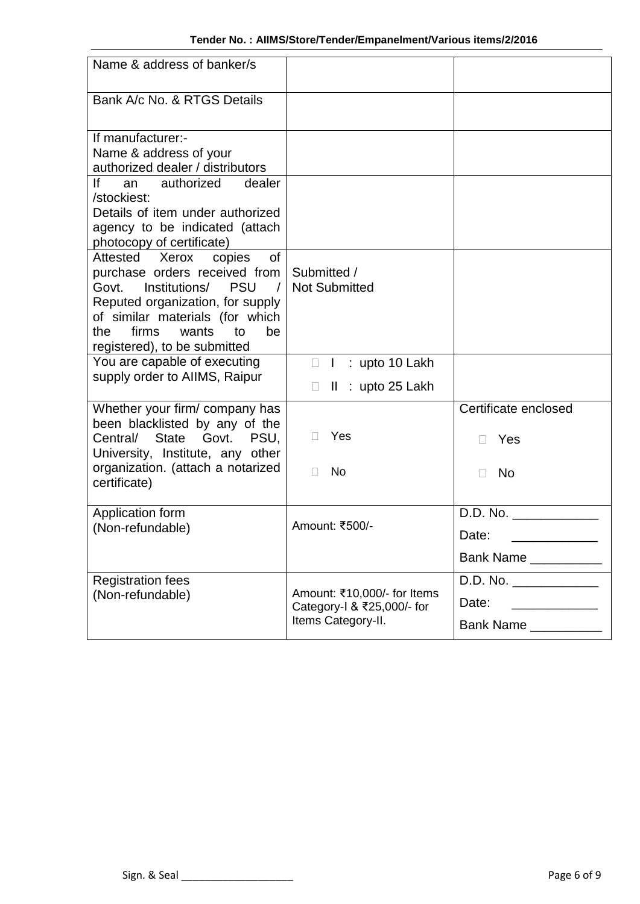| Name & address of banker/s                                                                                                                                                                                                                          |                                                                                    |                                                                                                  |
|-----------------------------------------------------------------------------------------------------------------------------------------------------------------------------------------------------------------------------------------------------|------------------------------------------------------------------------------------|--------------------------------------------------------------------------------------------------|
| Bank A/c No. & RTGS Details                                                                                                                                                                                                                         |                                                                                    |                                                                                                  |
| If manufacturer:-<br>Name & address of your<br>authorized dealer / distributors<br>lf<br>authorized<br>dealer<br>an                                                                                                                                 |                                                                                    |                                                                                                  |
| /stockiest:<br>Details of item under authorized<br>agency to be indicated (attach<br>photocopy of certificate)                                                                                                                                      |                                                                                    |                                                                                                  |
| Attested Xerox<br>copies<br>of<br>purchase orders received from<br>Govt.<br>Institutions/<br><b>PSU</b><br>Reputed organization, for supply<br>of similar materials (for which<br>firms<br>wants<br>be<br>the<br>to<br>registered), to be submitted | Submitted /<br><b>Not Submitted</b>                                                |                                                                                                  |
| You are capable of executing<br>supply order to AllMS, Raipur                                                                                                                                                                                       | : upto 10 Lakh<br>$\mathbf{I}$<br>П<br>$\mathbf{  }$<br>$:$ upto 25 Lakh<br>$\Box$ |                                                                                                  |
| Whether your firm/ company has<br>been blacklisted by any of the<br>State Govt. PSU,<br>Central/<br>University, Institute, any other                                                                                                                | Yes<br>П.                                                                          | Certificate enclosed<br>Yes                                                                      |
| organization. (attach a notarized<br>certificate)                                                                                                                                                                                                   | <b>No</b><br>$\Box$                                                                | <b>No</b>                                                                                        |
| Application form<br>(Non-refundable)                                                                                                                                                                                                                | Amount: ₹500/-                                                                     | D.D. No.<br>Date:<br><u>experience</u> and the control of the control of<br>Bank Name __________ |
| <b>Registration fees</b><br>(Non-refundable)                                                                                                                                                                                                        | Amount: ₹10,000/- for Items<br>Category-I & ₹25,000/- for<br>Items Category-II.    | Date:<br>Bank Name __________                                                                    |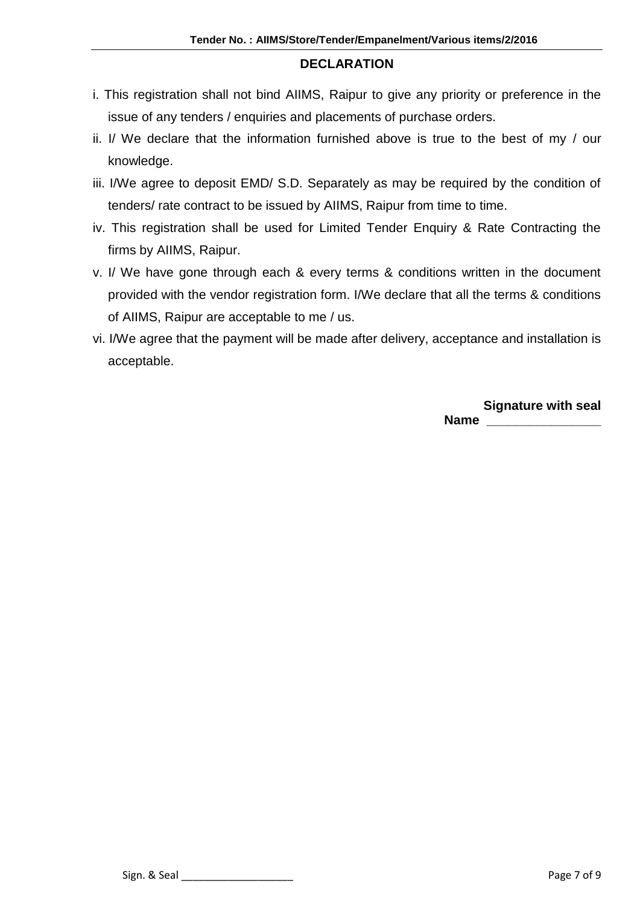#### **DECLARATION**

- i. This registration shall not bind AIIMS, Raipur to give any priority or preference in the issue of any tenders / enquiries and placements of purchase orders.
- ii. I/ We declare that the information furnished above is true to the best of my / our knowledge.
- iii. I/We agree to deposit EMD/ S.D. Separately as may be required by the condition of tenders/ rate contract to be issued by AIIMS, Raipur from time to time.
- iv. This registration shall be used for Limited Tender Enquiry & Rate Contracting the firms by AIIMS, Raipur.
- v. I/ We have gone through each & every terms & conditions written in the document provided with the vendor registration form. I/We declare that all the terms & conditions of AIIMS, Raipur are acceptable to me / us.
- vi. I/We agree that the payment will be made after delivery, acceptance and installation is acceptable.

**Signature with seal Name \_\_\_\_\_\_\_\_\_\_\_\_\_\_\_\_**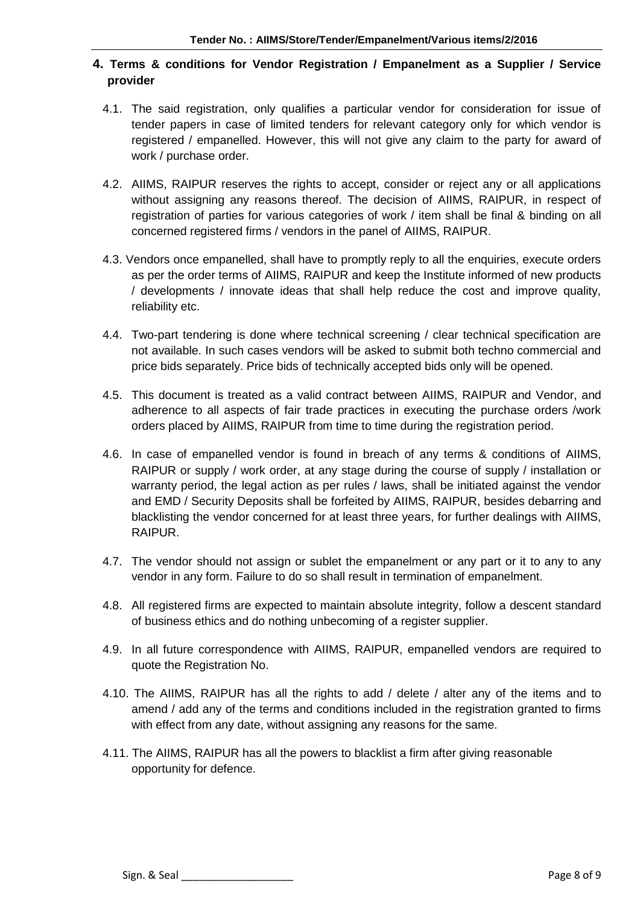#### **4. Terms & conditions for Vendor Registration / Empanelment as a Supplier / Service provider**

- 4.1. The said registration, only qualifies a particular vendor for consideration for issue of tender papers in case of limited tenders for relevant category only for which vendor is registered / empanelled. However, this will not give any claim to the party for award of work / purchase order.
- 4.2. AIIMS, RAIPUR reserves the rights to accept, consider or reject any or all applications without assigning any reasons thereof. The decision of AIIMS, RAIPUR, in respect of registration of parties for various categories of work / item shall be final & binding on all concerned registered firms / vendors in the panel of AIIMS, RAIPUR.
- 4.3. Vendors once empanelled, shall have to promptly reply to all the enquiries, execute orders as per the order terms of AIIMS, RAIPUR and keep the Institute informed of new products / developments / innovate ideas that shall help reduce the cost and improve quality, reliability etc.
- 4.4. Two-part tendering is done where technical screening / clear technical specification are not available. In such cases vendors will be asked to submit both techno commercial and price bids separately. Price bids of technically accepted bids only will be opened.
- 4.5. This document is treated as a valid contract between AIIMS, RAIPUR and Vendor, and adherence to all aspects of fair trade practices in executing the purchase orders /work orders placed by AIIMS, RAIPUR from time to time during the registration period.
- 4.6. In case of empanelled vendor is found in breach of any terms & conditions of AIIMS, RAIPUR or supply / work order, at any stage during the course of supply / installation or warranty period, the legal action as per rules / laws, shall be initiated against the vendor and EMD / Security Deposits shall be forfeited by AIIMS, RAIPUR, besides debarring and blacklisting the vendor concerned for at least three years, for further dealings with AIIMS, RAIPUR.
- 4.7. The vendor should not assign or sublet the empanelment or any part or it to any to any vendor in any form. Failure to do so shall result in termination of empanelment.
- 4.8. All registered firms are expected to maintain absolute integrity, follow a descent standard of business ethics and do nothing unbecoming of a register supplier.
- 4.9. In all future correspondence with AIIMS, RAIPUR, empanelled vendors are required to quote the Registration No.
- 4.10. The AIIMS, RAIPUR has all the rights to add / delete / alter any of the items and to amend / add any of the terms and conditions included in the registration granted to firms with effect from any date, without assigning any reasons for the same.
- 4.11. The AIIMS, RAIPUR has all the powers to blacklist a firm after giving reasonable opportunity for defence.